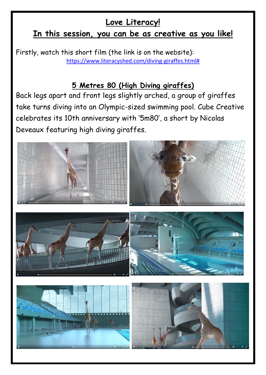## **Love Literacy!**

## **In this session, you can be as creative as you like!**

Firstly, watch this short film (the link is on the website): [https://www.literacyshed.com/diving-giraffes.html#](https://www.literacyshed.com/diving-giraffes.html)

## **5 Metres 80 (High Diving giraffes)**

Back legs apart and front legs slightly arched, a group of giraffes take turns diving into an Olympic-sized swimming pool. Cube Creative celebrates its 10th anniversary with '5m80′, a short by Nicolas Deveaux featuring high diving giraffes.